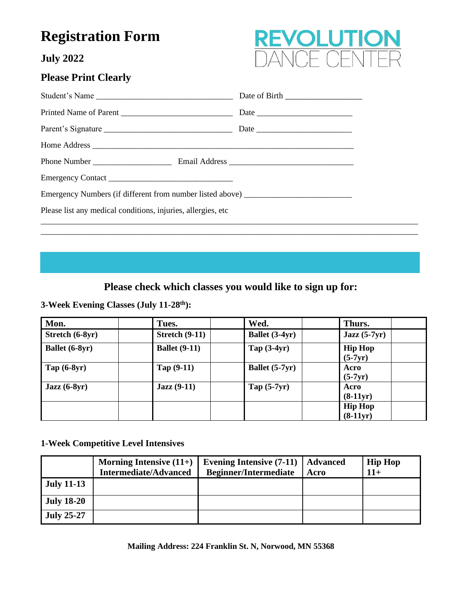# **Registration Form**

**July 2022**

## **Please Print Clearly**



| Emergency Numbers (if different from number listed above) _______________________ |  |  |  |  |
|-----------------------------------------------------------------------------------|--|--|--|--|
| Please list any medical conditions, injuries, allergies, etc                      |  |  |  |  |
|                                                                                   |  |  |  |  |

## **Please check which classes you would like to sign up for:**

\_\_\_\_\_\_\_\_\_\_\_\_\_\_\_\_\_\_\_\_\_\_\_\_\_\_\_\_\_\_\_\_\_\_\_\_\_\_\_\_\_\_\_\_\_\_\_\_\_\_\_\_\_\_\_\_\_\_\_\_\_\_\_\_\_\_\_\_\_\_\_\_\_\_\_\_\_\_\_\_\_\_\_\_\_\_\_\_\_\_\_

**3-Week Evening Classes (July 11-28th):** 

| Mon.                                   | Tues.                 | Wed.           | Thurs.                       |  |
|----------------------------------------|-----------------------|----------------|------------------------------|--|
| Stretch (6-8yr)                        | <b>Stretch (9-11)</b> | Ballet (3-4yr) | $Jazz(5-7yr)$                |  |
| Ballet (6-8yr)                         | <b>Ballet</b> (9-11)  | Tap $(3-4yr)$  | <b>Hip Hop</b><br>$(5-7yr)$  |  |
| Tap $(6-8yr)$                          | Tap $(9-11)$          | Ballet (5-7yr) | Acro<br>$(5-7yr)$            |  |
| $\text{Jazz}\left(\text{6-8yr}\right)$ | $Jazz(9-11)$          | Tap $(5-7yr)$  | Acro<br>$(8-11yr)$           |  |
|                                        |                       |                | <b>Hip Hop</b><br>$(8-11yr)$ |  |

#### **1-Week Competitive Level Intensives**

|                   | Morning Intensive $(11+)$    | Evening Intensive (7-11)   Advanced |      | <b>Hip Hop</b> |
|-------------------|------------------------------|-------------------------------------|------|----------------|
|                   | <b>Intermediate/Advanced</b> | <b>Beginner/Intermediate</b>        | Acro | $11+$          |
| <b>July 11-13</b> |                              |                                     |      |                |
| <b>July 18-20</b> |                              |                                     |      |                |
| <b>July 25-27</b> |                              |                                     |      |                |